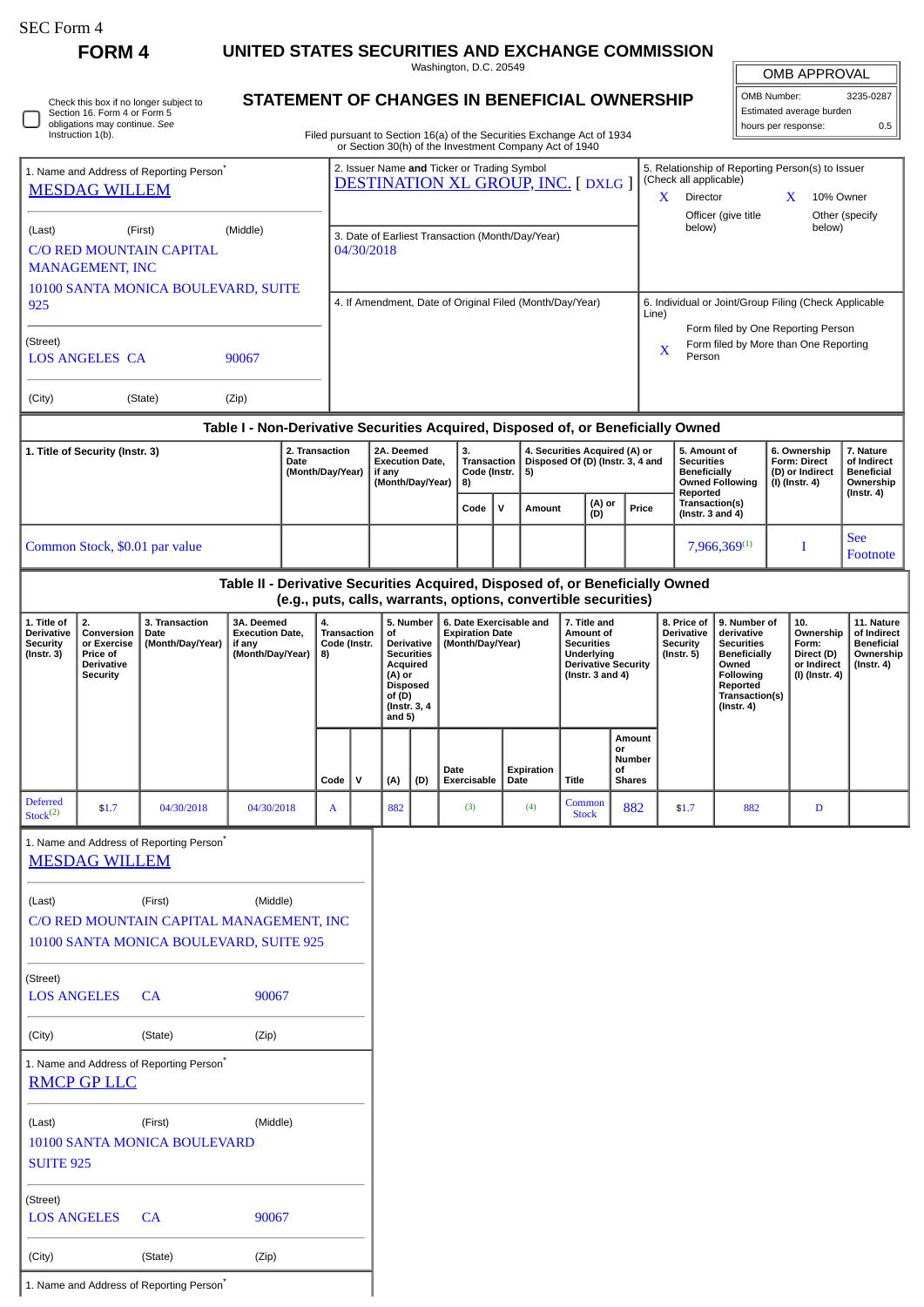**FORM 4 UNITED STATES SECURITIES AND EXCHANGE COMMISSION**

Washington, D.C. 20549

|  | Check this box if no longer subject to<br>Section 16. Form 4 or Form 5<br>obligations may continue. See<br>Instruction 1(b). |
|--|------------------------------------------------------------------------------------------------------------------------------|
|--|------------------------------------------------------------------------------------------------------------------------------|

(City) (State) (Zip)

1. Name and Address of Reporting Person<sup>\*</sup>

## **STATEMENT OF CHANGES IN BENEFICIAL OWNERSHIP**

Filed pursuant to Section 16(a) of the Securities Exchange Act of 1934 or Section 30(h) of the Investment Company Act of 1940

| <b>OMB APPROVAL</b>            |           |  |  |  |  |
|--------------------------------|-----------|--|--|--|--|
| OMB Number:                    | 3235-0287 |  |  |  |  |
| Estimated average burden       |           |  |  |  |  |
| hours per response:<br>$0.5 -$ |           |  |  |  |  |

| 1. Name and Address of Reporting Person <sup>®</sup><br><b>MESDAG WILLEM</b>                                                                             |                        |                                                                                                |                                                                    |                                                                | 2. Issuer Name and Ticker or Trading Symbol<br><b>DESTINATION XL GROUP, INC. [DXLG ]</b> |                                                                    |                                                                                                                                           |                                                  |                             |                                                                       |                                                                         |            |                                                                                                                     | 5. Relationship of Reporting Person(s) to Issuer<br>(Check all applicable)<br>Director<br>10% Owner<br>X.<br>X<br>Officer (give title<br>Other (specify |                                                                                            |                                                                                    |                                                                                                                                                |                                                   |                                                                          |                                                                                 |
|----------------------------------------------------------------------------------------------------------------------------------------------------------|------------------------|------------------------------------------------------------------------------------------------|--------------------------------------------------------------------|----------------------------------------------------------------|------------------------------------------------------------------------------------------|--------------------------------------------------------------------|-------------------------------------------------------------------------------------------------------------------------------------------|--------------------------------------------------|-----------------------------|-----------------------------------------------------------------------|-------------------------------------------------------------------------|------------|---------------------------------------------------------------------------------------------------------------------|---------------------------------------------------------------------------------------------------------------------------------------------------------|--------------------------------------------------------------------------------------------|------------------------------------------------------------------------------------|------------------------------------------------------------------------------------------------------------------------------------------------|---------------------------------------------------|--------------------------------------------------------------------------|---------------------------------------------------------------------------------|
| (Last)                                                                                                                                                   | <b>MANAGEMENT, INC</b> | (First)<br><b>C/O RED MOUNTAIN CAPITAL</b>                                                     | (Middle)                                                           |                                                                |                                                                                          |                                                                    | 04/30/2018                                                                                                                                | 3. Date of Earliest Transaction (Month/Day/Year) |                             |                                                                       |                                                                         |            |                                                                                                                     |                                                                                                                                                         |                                                                                            | below)                                                                             |                                                                                                                                                |                                                   | below)                                                                   |                                                                                 |
| 10100 SANTA MONICA BOULEVARD, SUITE<br>925                                                                                                               |                        |                                                                                                |                                                                    |                                                                | 4. If Amendment, Date of Original Filed (Month/Day/Year)                                 |                                                                    |                                                                                                                                           |                                                  |                             |                                                                       |                                                                         |            |                                                                                                                     |                                                                                                                                                         | 6. Individual or Joint/Group Filing (Check Applicable<br>Line)                             |                                                                                    |                                                                                                                                                |                                                   |                                                                          |                                                                                 |
| (Street)<br><b>LOS ANGELES CA</b><br>90067                                                                                                               |                        |                                                                                                |                                                                    |                                                                |                                                                                          |                                                                    |                                                                                                                                           |                                                  |                             |                                                                       |                                                                         |            |                                                                                                                     |                                                                                                                                                         | Form filed by One Reporting Person<br>Form filed by More than One Reporting<br>X<br>Person |                                                                                    |                                                                                                                                                |                                                   |                                                                          |                                                                                 |
| (City)<br>(State)<br>(Zip)                                                                                                                               |                        |                                                                                                |                                                                    |                                                                |                                                                                          |                                                                    |                                                                                                                                           |                                                  |                             |                                                                       |                                                                         |            |                                                                                                                     |                                                                                                                                                         |                                                                                            |                                                                                    |                                                                                                                                                |                                                   |                                                                          |                                                                                 |
|                                                                                                                                                          |                        |                                                                                                |                                                                    | 2. Transaction                                                 |                                                                                          |                                                                    |                                                                                                                                           |                                                  | 3.                          |                                                                       |                                                                         |            |                                                                                                                     |                                                                                                                                                         |                                                                                            | Table I - Non-Derivative Securities Acquired, Disposed of, or Beneficially Owned   |                                                                                                                                                |                                                   | 6. Ownership                                                             | 7. Nature                                                                       |
| 1. Title of Security (Instr. 3)<br>Date                                                                                                                  |                        |                                                                                                |                                                                    | (Month/Day/Year)                                               |                                                                                          | 2A. Deemed<br><b>Execution Date,</b><br>if any<br>(Month/Day/Year) |                                                                                                                                           | 8)                                               | Transaction<br>Code (Instr. |                                                                       | 4. Securities Acquired (A) or<br>Disposed Of (D) (Instr. 3, 4 and<br>5) |            |                                                                                                                     |                                                                                                                                                         |                                                                                            | 5. Amount of<br><b>Securities</b><br><b>Beneficially</b><br><b>Owned Following</b> |                                                                                                                                                | Form: Direct<br>(D) or Indirect<br>(I) (Instr. 4) | of Indirect<br><b>Beneficial</b><br>Ownership                            |                                                                                 |
|                                                                                                                                                          |                        |                                                                                                |                                                                    |                                                                |                                                                                          |                                                                    |                                                                                                                                           |                                                  |                             | $\mathsf{v}$<br>Code                                                  |                                                                         | Amount     |                                                                                                                     | (A) or<br>(D)                                                                                                                                           | Price                                                                                      |                                                                                    | Reported<br>Transaction(s)<br>(Instr. $3$ and $4$ )                                                                                            |                                                   |                                                                          | $($ Instr. 4 $)$                                                                |
|                                                                                                                                                          |                        | Common Stock, \$0.01 par value                                                                 |                                                                    |                                                                |                                                                                          |                                                                    |                                                                                                                                           |                                                  |                             |                                                                       |                                                                         |            |                                                                                                                     |                                                                                                                                                         |                                                                                            | 7,966,369(1)                                                                       |                                                                                                                                                |                                                   | I                                                                        | <b>See</b><br>Footnote                                                          |
|                                                                                                                                                          |                        |                                                                                                |                                                                    | (e.g., puts, calls, warrants, options, convertible securities) |                                                                                          |                                                                    |                                                                                                                                           |                                                  |                             |                                                                       |                                                                         |            |                                                                                                                     |                                                                                                                                                         |                                                                                            | Table II - Derivative Securities Acquired, Disposed of, or Beneficially Owned      |                                                                                                                                                |                                                   |                                                                          |                                                                                 |
| 1. Title of<br>2.<br><b>Derivative</b><br>Conversion<br><b>Security</b><br>or Exercise<br>(Instr. 3)<br>Price of<br><b>Derivative</b><br><b>Security</b> |                        | 3. Transaction<br>Date<br>(Month/Day/Year)                                                     | 3A. Deemed<br><b>Execution Date,</b><br>if any<br>(Month/Day/Year) |                                                                | 4.<br><b>Transaction</b><br>Code (Instr.<br>8)                                           |                                                                    | 5. Number<br>οf<br><b>Derivative</b><br><b>Securities</b><br>Acquired<br>(A) or<br><b>Disposed</b><br>of (D)<br>(Instr. 3, 4)<br>and $5)$ |                                                  |                             | 6. Date Exercisable and<br><b>Expiration Date</b><br>(Month/Day/Year) |                                                                         |            | 7. Title and<br>Amount of<br><b>Securities</b><br>Underlying<br><b>Derivative Security</b><br>(Instr. $3$ and $4$ ) |                                                                                                                                                         |                                                                                            | 8. Price of<br><b>Derivative</b><br><b>Security</b><br>$($ lnstr. 5 $)$            | 9. Number of<br>derivative<br><b>Securities</b><br><b>Beneficially</b><br>Owned<br>Following<br>Reported<br>Transaction(s)<br>$($ Instr. 4 $)$ |                                                   | 10.<br>Ownership<br>Form:<br>Direct (D)<br>or Indirect<br>(I) (Instr. 4) | 11. Nature<br>of Indirect<br><b>Beneficial</b><br>Ownership<br>$($ Instr. 4 $)$ |
|                                                                                                                                                          |                        |                                                                                                |                                                                    |                                                                | Code                                                                                     | $\mathsf{v}$                                                       | (A)                                                                                                                                       | (D)                                              | Date<br>Exercisable         |                                                                       | Date                                                                    | Expiration | <b>Title</b>                                                                                                        | or<br>οf                                                                                                                                                | Amount<br>Number<br><b>Shares</b>                                                          |                                                                                    |                                                                                                                                                |                                                   |                                                                          |                                                                                 |
| <b>Deferred</b><br>Stock <sup>(2)</sup>                                                                                                                  | \$1.7                  | 04/30/2018                                                                                     | 04/30/2018                                                         |                                                                | A                                                                                        |                                                                    | 882                                                                                                                                       |                                                  | (3)                         |                                                                       |                                                                         | (4)        | Common<br><b>Stock</b>                                                                                              |                                                                                                                                                         | 882                                                                                        | \$1.7                                                                              | 882                                                                                                                                            |                                                   | D                                                                        |                                                                                 |
|                                                                                                                                                          | <b>MESDAG WILLEM</b>   | 1. Name and Address of Reporting Person                                                        |                                                                    |                                                                |                                                                                          |                                                                    |                                                                                                                                           |                                                  |                             |                                                                       |                                                                         |            |                                                                                                                     |                                                                                                                                                         |                                                                                            |                                                                                    |                                                                                                                                                |                                                   |                                                                          |                                                                                 |
| (Last)                                                                                                                                                   |                        | (First)<br>C/O RED MOUNTAIN CAPITAL MANAGEMENT, INC<br>10100 SANTA MONICA BOULEVARD, SUITE 925 | (Middle)                                                           |                                                                |                                                                                          |                                                                    |                                                                                                                                           |                                                  |                             |                                                                       |                                                                         |            |                                                                                                                     |                                                                                                                                                         |                                                                                            |                                                                                    |                                                                                                                                                |                                                   |                                                                          |                                                                                 |
| (Street)<br><b>LOS ANGELES</b>                                                                                                                           |                        | CA                                                                                             | 90067                                                              |                                                                |                                                                                          |                                                                    |                                                                                                                                           |                                                  |                             |                                                                       |                                                                         |            |                                                                                                                     |                                                                                                                                                         |                                                                                            |                                                                                    |                                                                                                                                                |                                                   |                                                                          |                                                                                 |
| (Zip)<br>(City)<br>(State)                                                                                                                               |                        |                                                                                                |                                                                    |                                                                |                                                                                          |                                                                    |                                                                                                                                           |                                                  |                             |                                                                       |                                                                         |            |                                                                                                                     |                                                                                                                                                         |                                                                                            |                                                                                    |                                                                                                                                                |                                                   |                                                                          |                                                                                 |
| 1. Name and Address of Reporting Person*<br><b>RMCP GP LLC</b>                                                                                           |                        |                                                                                                |                                                                    |                                                                |                                                                                          |                                                                    |                                                                                                                                           |                                                  |                             |                                                                       |                                                                         |            |                                                                                                                     |                                                                                                                                                         |                                                                                            |                                                                                    |                                                                                                                                                |                                                   |                                                                          |                                                                                 |
| (Middle)<br>(First)<br>(Last)<br>10100 SANTA MONICA BOULEVARD<br><b>SUITE 925</b>                                                                        |                        |                                                                                                |                                                                    |                                                                |                                                                                          |                                                                    |                                                                                                                                           |                                                  |                             |                                                                       |                                                                         |            |                                                                                                                     |                                                                                                                                                         |                                                                                            |                                                                                    |                                                                                                                                                |                                                   |                                                                          |                                                                                 |
| (Street)<br><b>LOS ANGELES</b>                                                                                                                           |                        | CA                                                                                             | 90067                                                              |                                                                |                                                                                          |                                                                    |                                                                                                                                           |                                                  |                             |                                                                       |                                                                         |            |                                                                                                                     |                                                                                                                                                         |                                                                                            |                                                                                    |                                                                                                                                                |                                                   |                                                                          |                                                                                 |